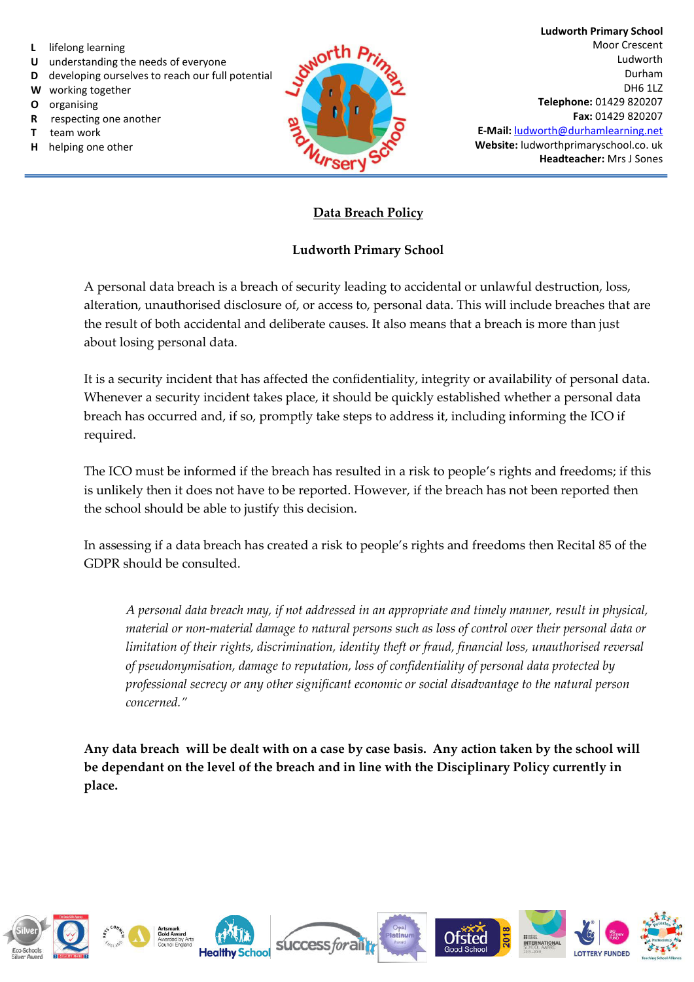- **L** lifelong learning
- **U** understanding the needs of everyone
- **D** developing ourselves to reach our full potential
- **W** working together
- **O** organising
- **R** respecting one another
- **T** team work
- **H** helping one other



**Ludworth Primary School**  Moor Crescent Ludworth Durham DH6 1LZ **Telephone:** 01429 820207 **Fax:** 01429 820207 **E-Mail:** [ludworth@durhamlearning.net](mailto:ludworth@durhamlearning.net) **Website:** ludworthprimaryschool.co. uk **Headteacher:** Mrs J Sones

## **Data Breach Policy**

## **Ludworth Primary School**

A personal data breach is a breach of security leading to accidental or unlawful destruction, loss, alteration, unauthorised disclosure of, or access to, personal data. This will include breaches that are the result of both accidental and deliberate causes. It also means that a breach is more than just about losing personal data.

It is a security incident that has affected the confidentiality, integrity or availability of personal data. Whenever a security incident takes place, it should be quickly established whether a personal data breach has occurred and, if so, promptly take steps to address it, including informing the ICO if required.

The ICO must be informed if the breach has resulted in a risk to people's rights and freedoms; if this is unlikely then it does not have to be reported. However, if the breach has not been reported then the school should be able to justify this decision.

In assessing if a data breach has created a risk to people's rights and freedoms then Recital 85 of the GDPR should be consulted.

*A personal data breach may, if not addressed in an appropriate and timely manner, result in physical, material or non-material damage to natural persons such as loss of control over their personal data or limitation of their rights, discrimination, identity theft or fraud, financial loss, unauthorised reversal of pseudonymisation, damage to reputation, loss of confidentiality of personal data protected by professional secrecy or any other significant economic or social disadvantage to the natural person concerned."*

**Any data breach will be dealt with on a case by case basis. Any action taken by the school will be dependant on the level of the breach and in line with the Disciplinary Policy currently in place.**